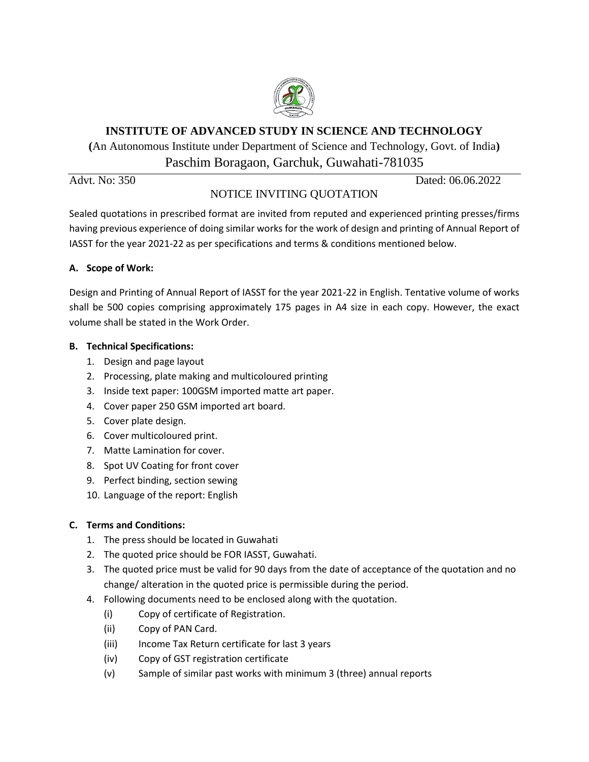

## **INSTITUTE OF ADVANCED STUDY IN SCIENCE AND TECHNOLOGY**

**(**An Autonomous Institute under Department of Science and Technology, Govt. of India**)** Paschim Boragaon, Garchuk, Guwahati-781035

# NOTICE INVITING QUOTATION

Advt. No: 350 Dated: 06.06.2022

Sealed quotations in prescribed format are invited from reputed and experienced printing presses/firms having previous experience of doing similar works for the work of design and printing of Annual Report of IASST for the year 2021-22 as per specifications and terms & conditions mentioned below.

## **A. Scope of Work:**

Design and Printing of Annual Report of IASST for the year 2021-22 in English. Tentative volume of works shall be 500 copies comprising approximately 175 pages in A4 size in each copy. However, the exact volume shall be stated in the Work Order.

## **B. Technical Specifications:**

- 1. Design and page layout
- 2. Processing, plate making and multicoloured printing
- 3. Inside text paper: 100GSM imported matte art paper.
- 4. Cover paper 250 GSM imported art board.
- 5. Cover plate design.
- 6. Cover multicoloured print.
- 7. Matte Lamination for cover.
- 8. Spot UV Coating for front cover
- 9. Perfect binding, section sewing
- 10. Language of the report: English

## **C. Terms and Conditions:**

- 1. The press should be located in Guwahati
- 2. The quoted price should be FOR IASST, Guwahati.
- 3. The quoted price must be valid for 90 days from the date of acceptance of the quotation and no change/ alteration in the quoted price is permissible during the period.
- 4. Following documents need to be enclosed along with the quotation.
	- (i) Copy of certificate of Registration.
	- (ii) Copy of PAN Card.
	- (iii) Income Tax Return certificate for last 3 years
	- (iv) Copy of GST registration certificate
	- (v) Sample of similar past works with minimum 3 (three) annual reports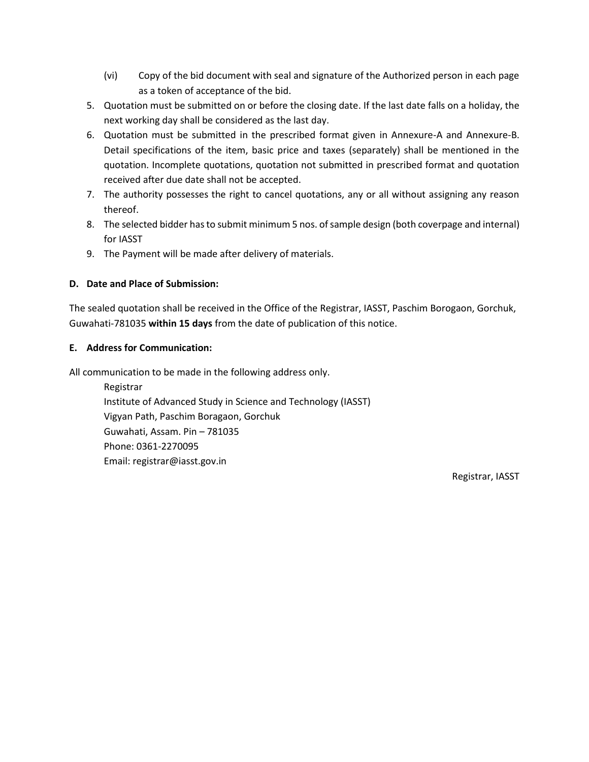- (vi) Copy of the bid document with seal and signature of the Authorized person in each page as a token of acceptance of the bid.
- 5. Quotation must be submitted on or before the closing date. If the last date falls on a holiday, the next working day shall be considered as the last day.
- 6. Quotation must be submitted in the prescribed format given in Annexure-A and Annexure-B. Detail specifications of the item, basic price and taxes (separately) shall be mentioned in the quotation. Incomplete quotations, quotation not submitted in prescribed format and quotation received after due date shall not be accepted.
- 7. The authority possesses the right to cancel quotations, any or all without assigning any reason thereof.
- 8. The selected bidder has to submit minimum 5 nos. of sample design (both coverpage and internal) for IASST
- 9. The Payment will be made after delivery of materials.

## **D. Date and Place of Submission:**

The sealed quotation shall be received in the Office of the Registrar, IASST, Paschim Borogaon, Gorchuk, Guwahati-781035 **within 15 days** from the date of publication of this notice.

### **E. Address for Communication:**

All communication to be made in the following address only.

Registrar Institute of Advanced Study in Science and Technology (IASST) Vigyan Path, Paschim Boragaon, Gorchuk Guwahati, Assam. Pin – 781035 Phone: 0361-2270095 Email: registrar@iasst.gov.in

Registrar, IASST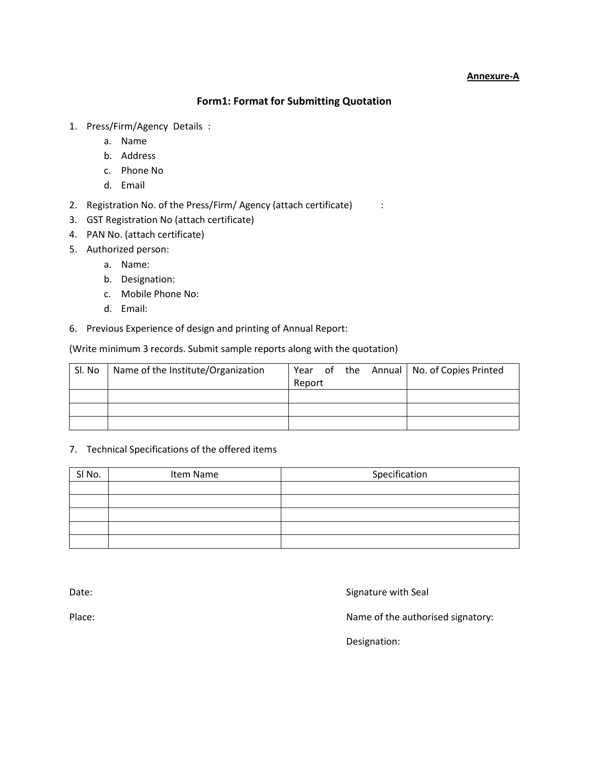#### **Annexure-A**

## **Form1: Format for Submitting Quotation**

- 1. Press/Firm/Agency Details :
	- a. Name
	- b. Address
	- c. Phone No
	- d. Email
- 2. Registration No. of the Press/Firm/ Agency (attach certificate) :
- 3. GST Registration No (attach certificate)
- 4. PAN No. (attach certificate)
- 5. Authorized person:
	- a. Name:
	- b. Designation:
	- c. Mobile Phone No:
	- d. Email:
- 6. Previous Experience of design and printing of Annual Report:

#### (Write minimum 3 records. Submit sample reports along with the quotation)

| Sl. No | Name of the Institute/Organization |        |  | Year of the Annual   No. of Copies Printed |
|--------|------------------------------------|--------|--|--------------------------------------------|
|        |                                    | Report |  |                                            |
|        |                                    |        |  |                                            |
|        |                                    |        |  |                                            |

#### 7. Technical Specifications of the offered items

| SI No. | Item Name | Specification |  |  |
|--------|-----------|---------------|--|--|
|        |           |               |  |  |
|        |           |               |  |  |
|        |           |               |  |  |
|        |           |               |  |  |
|        |           |               |  |  |

Date: Case of the Signature with Seal Date:

Place:  $\blacksquare$  Place:  $\blacksquare$ 

Designation: